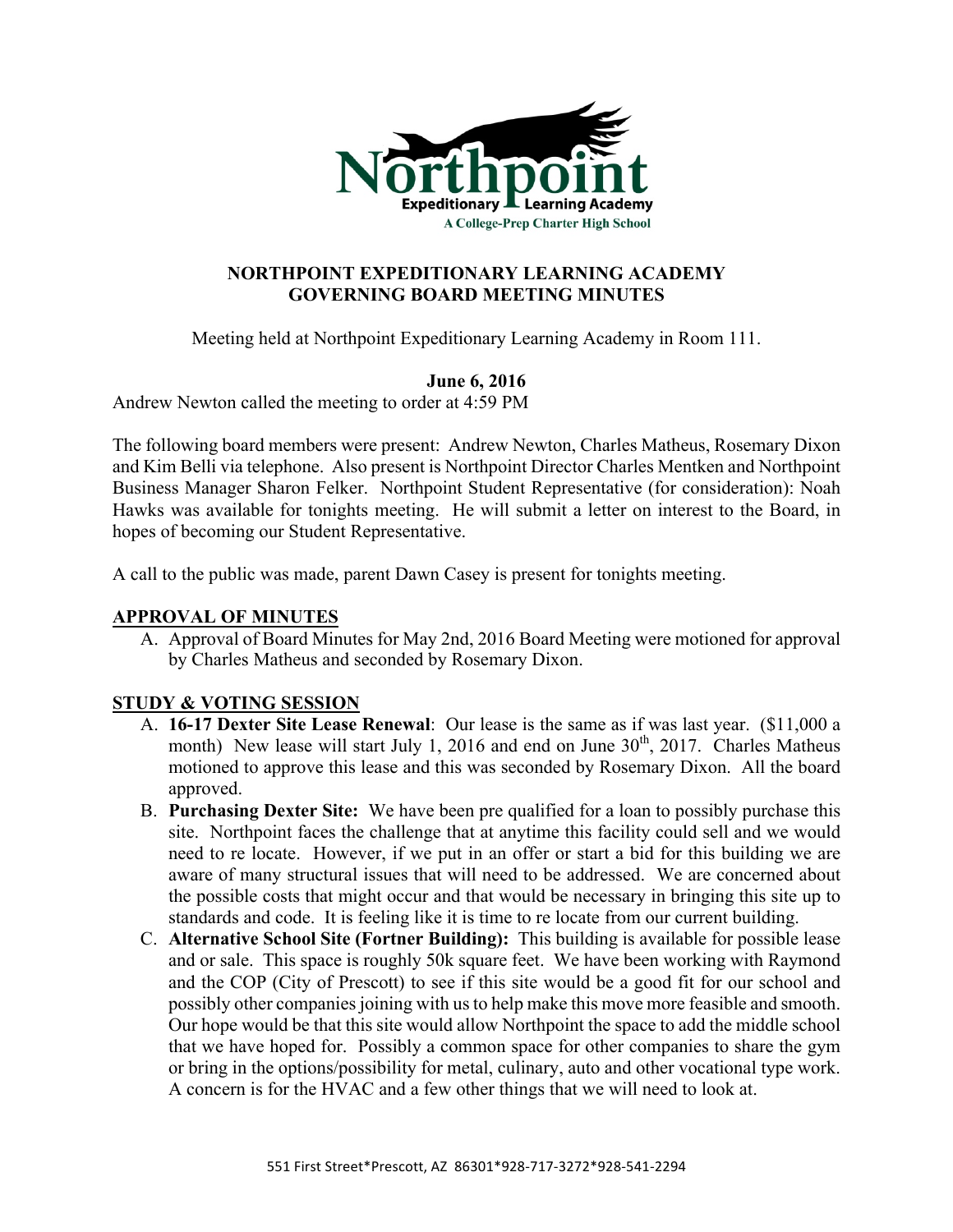

## **NORTHPOINT EXPEDITIONARY LEARNING ACADEMY GOVERNING BOARD MEETING MINUTES**

Meeting held at Northpoint Expeditionary Learning Academy in Room 111.

# **June 6, 2016**

Andrew Newton called the meeting to order at 4:59 PM

The following board members were present: Andrew Newton, Charles Matheus, Rosemary Dixon and Kim Belli via telephone. Also present is Northpoint Director Charles Mentken and Northpoint Business Manager Sharon Felker. Northpoint Student Representative (for consideration): Noah Hawks was available for tonights meeting. He will submit a letter on interest to the Board, in hopes of becoming our Student Representative.

A call to the public was made, parent Dawn Casey is present for tonights meeting.

## **APPROVAL OF MINUTES**

A. Approval of Board Minutes for May 2nd, 2016 Board Meeting were motioned for approval by Charles Matheus and seconded by Rosemary Dixon.

## **STUDY & VOTING SESSION**

- A. **16-17 Dexter Site Lease Renewal**: Our lease is the same as if was last year. (\$11,000 a month) New lease will start July 1, 2016 and end on June  $30<sup>th</sup>$ , 2017. Charles Matheus motioned to approve this lease and this was seconded by Rosemary Dixon. All the board approved.
- B. **Purchasing Dexter Site:** We have been pre qualified for a loan to possibly purchase this site. Northpoint faces the challenge that at anytime this facility could sell and we would need to re locate. However, if we put in an offer or start a bid for this building we are aware of many structural issues that will need to be addressed. We are concerned about the possible costs that might occur and that would be necessary in bringing this site up to standards and code. It is feeling like it is time to re locate from our current building.
- C. **Alternative School Site (Fortner Building):** This building is available for possible lease and or sale. This space is roughly 50k square feet. We have been working with Raymond and the COP (City of Prescott) to see if this site would be a good fit for our school and possibly other companies joining with us to help make this move more feasible and smooth. Our hope would be that this site would allow Northpoint the space to add the middle school that we have hoped for. Possibly a common space for other companies to share the gym or bring in the options/possibility for metal, culinary, auto and other vocational type work. A concern is for the HVAC and a few other things that we will need to look at.